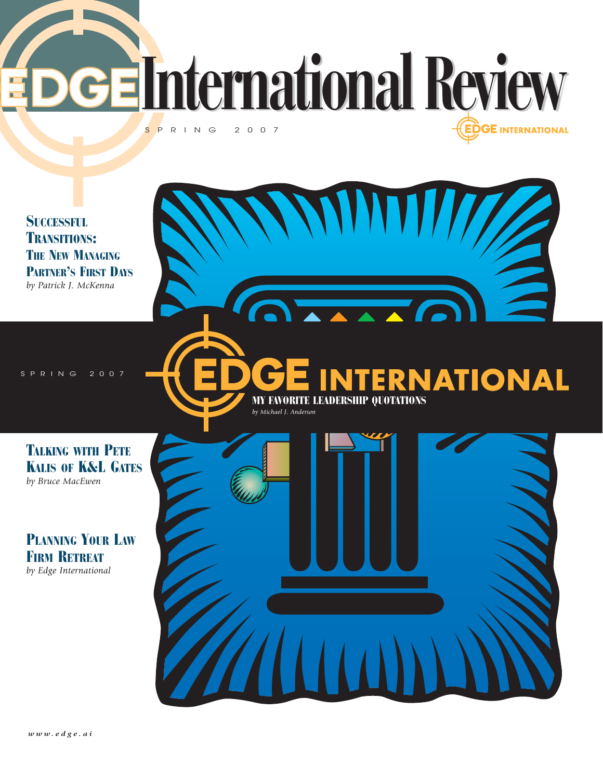**International Review** SPRING 2007 **GE INTERNATIONAL** 

**SUCCESSFUL** TRANSITIONS: **THE NEW MANAGING** PARTNER'S FIRST DAYS *by Patrick J. McKenna*

SPRING 2007<br>Spring 2007

**ERNATIONAL** MY FAVORITE LEADERSHIP QUOTATIONS *by Michael J. Anderson*

 $\overline{\phantom{a}}$ 

TALKING WITH PETE KALIS OF K&L GATES *by Bruce MacEwen*

PLANNING YOUR LAW FIRM RETREAT *by Edge International*

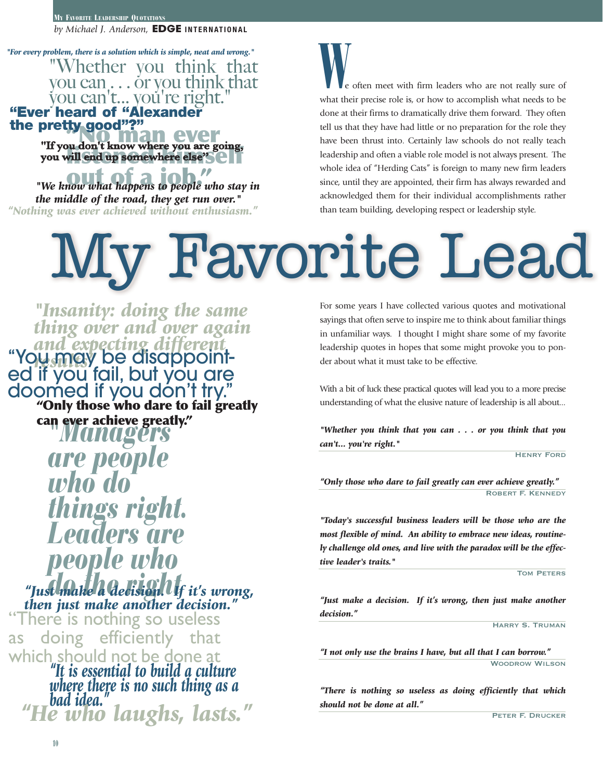MY FAVORITE LEADERSHIP QUOTATIONS *by Michael J. Anderson,* **EDGE INTERNATIONAL**

"Whether you think that you can . . . or you think that vou can't... vou're right. **"Ever heard of "Alexander the pretty good"?"** *"For every problem, there is a solution which is simple, neat and wrong."* 

**WELF YOU MAN EVER**<br>
"If you don't know where you are going, **listened will end up somewhere else's example.** 

*We know what happens to people who stay in the middle of the road, they get run over." "Nothing was ever achieved without enthusiasm."* 

e often meet with firm leaders who are not really sure of what their precise role is, or how to accomplish what needs to be done at their firms to dramatically drive them forward. They often tell us that they have had little or no preparation for the role they have been thrust into. Certainly law schools do not really teach leadership and often a viable role model is not always present. The whole idea of "Herding Cats" is foreign to many new firm leaders since, until they are appointed, their firm has always rewarded and acknowledged them for their individual accomplishments rather than team building, developing respect or leadership style.

## **Favorite Lea**

*"Managers are people who do things right. Leaders are people who do the right "Just make a decision. If it's wrong,* **"Only those who dare to fail greatly can ever achieve greatly."** *then just make another decision." "Insanity: doing the same thing over and over again and expecting different* "You may be disappoint- *results"* ed if you fail, but you are doomed if you don't try."

There is nothing so useless as doing efficiently that which should not be done at

*"It is essential to build a culture where there is no such thing as a bad idea." "He who laughs, lasts."* For some years I have collected various quotes and motivational sayings that often serve to inspire me to think about familiar things in unfamiliar ways. I thought I might share some of my favorite leadership quotes in hopes that some might provoke you to ponder about what it must take to be effective.

With a bit of luck these practical quotes will lead you to a more precise understanding of what the elusive nature of leadership is all about...

*"Whether you think that you can . . . or you think that you can't... you're right."* 

**HENRY FORD** 

*"Only those who dare to fail greatly can ever achieve greatly."*  Robert F. Kennedy

*"Today's successful business leaders will be those who are the most flexible of mind. An ability to embrace new ideas, routinely challenge old ones, and live with the paradox will be the effective leader's traits."*

Tom Peters

*"Just make a decision. If it's wrong, then just make another decision."* 

Harry S. Truman

*"I not only use the brains I have, but all that I can borrow."*  Woodrow Wilson

*"There is nothing so useless as doing efficiently that which should not be done at all."* 

Peter F. Drucker